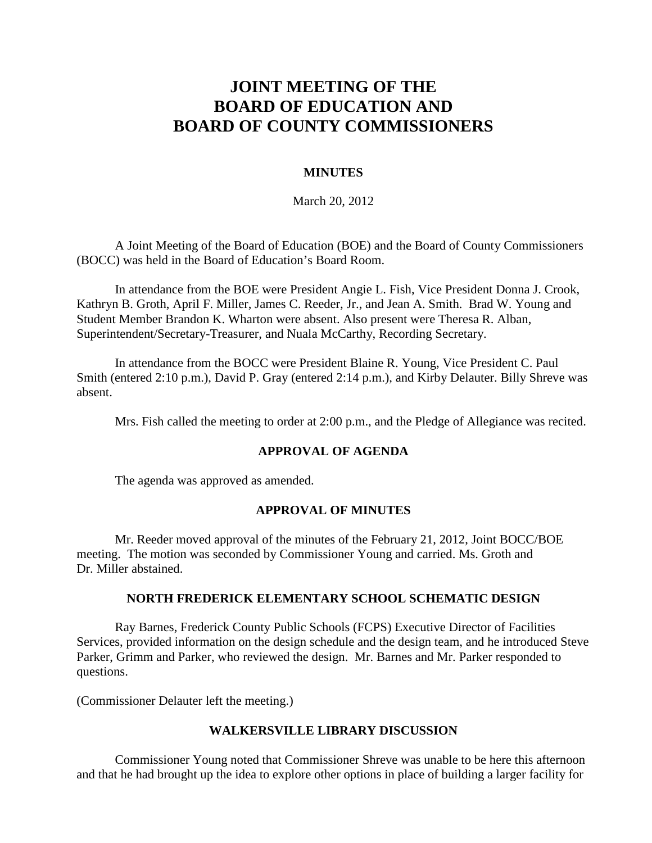# **JOINT MEETING OF THE BOARD OF EDUCATION AND BOARD OF COUNTY COMMISSIONERS**

## **MINUTES**

March 20, 2012

A Joint Meeting of the Board of Education (BOE) and the Board of County Commissioners (BOCC) was held in the Board of Education's Board Room.

In attendance from the BOE were President Angie L. Fish, Vice President Donna J. Crook, Kathryn B. Groth, April F. Miller, James C. Reeder, Jr., and Jean A. Smith. Brad W. Young and Student Member Brandon K. Wharton were absent. Also present were Theresa R. Alban, Superintendent/Secretary-Treasurer, and Nuala McCarthy, Recording Secretary.

In attendance from the BOCC were President Blaine R. Young, Vice President C. Paul Smith (entered 2:10 p.m.), David P. Gray (entered 2:14 p.m.), and Kirby Delauter. Billy Shreve was absent.

Mrs. Fish called the meeting to order at 2:00 p.m., and the Pledge of Allegiance was recited.

#### **APPROVAL OF AGENDA**

The agenda was approved as amended.

## **APPROVAL OF MINUTES**

Mr. Reeder moved approval of the minutes of the February 21, 2012, Joint BOCC/BOE meeting. The motion was seconded by Commissioner Young and carried. Ms. Groth and Dr. Miller abstained.

#### **NORTH FREDERICK ELEMENTARY SCHOOL SCHEMATIC DESIGN**

Ray Barnes, Frederick County Public Schools (FCPS) Executive Director of Facilities Services, provided information on the design schedule and the design team, and he introduced Steve Parker, Grimm and Parker, who reviewed the design. Mr. Barnes and Mr. Parker responded to questions.

(Commissioner Delauter left the meeting.)

#### **WALKERSVILLE LIBRARY DISCUSSION**

Commissioner Young noted that Commissioner Shreve was unable to be here this afternoon and that he had brought up the idea to explore other options in place of building a larger facility for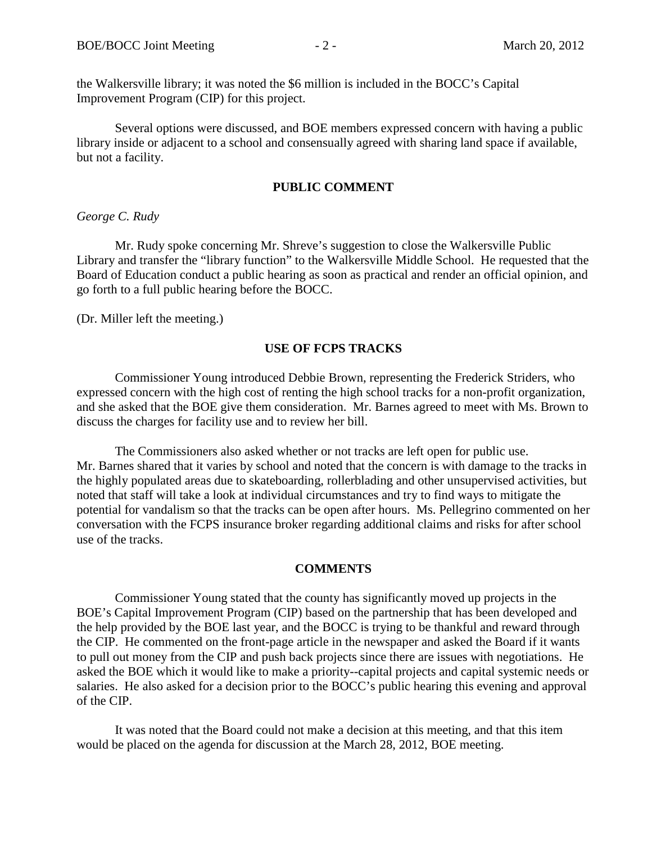the Walkersville library; it was noted the \$6 million is included in the BOCC's Capital Improvement Program (CIP) for this project.

Several options were discussed, and BOE members expressed concern with having a public library inside or adjacent to a school and consensually agreed with sharing land space if available, but not a facility.

## **PUBLIC COMMENT**

#### *George C. Rudy*

Mr. Rudy spoke concerning Mr. Shreve's suggestion to close the Walkersville Public Library and transfer the "library function" to the Walkersville Middle School. He requested that the Board of Education conduct a public hearing as soon as practical and render an official opinion, and go forth to a full public hearing before the BOCC.

(Dr. Miller left the meeting.)

## **USE OF FCPS TRACKS**

Commissioner Young introduced Debbie Brown, representing the Frederick Striders, who expressed concern with the high cost of renting the high school tracks for a non-profit organization, and she asked that the BOE give them consideration. Mr. Barnes agreed to meet with Ms. Brown to discuss the charges for facility use and to review her bill.

The Commissioners also asked whether or not tracks are left open for public use. Mr. Barnes shared that it varies by school and noted that the concern is with damage to the tracks in the highly populated areas due to skateboarding, rollerblading and other unsupervised activities, but noted that staff will take a look at individual circumstances and try to find ways to mitigate the potential for vandalism so that the tracks can be open after hours. Ms. Pellegrino commented on her conversation with the FCPS insurance broker regarding additional claims and risks for after school use of the tracks.

## **COMMENTS**

Commissioner Young stated that the county has significantly moved up projects in the BOE's Capital Improvement Program (CIP) based on the partnership that has been developed and the help provided by the BOE last year, and the BOCC is trying to be thankful and reward through the CIP. He commented on the front-page article in the newspaper and asked the Board if it wants to pull out money from the CIP and push back projects since there are issues with negotiations. He asked the BOE which it would like to make a priority--capital projects and capital systemic needs or salaries. He also asked for a decision prior to the BOCC's public hearing this evening and approval of the CIP.

It was noted that the Board could not make a decision at this meeting, and that this item would be placed on the agenda for discussion at the March 28, 2012, BOE meeting.